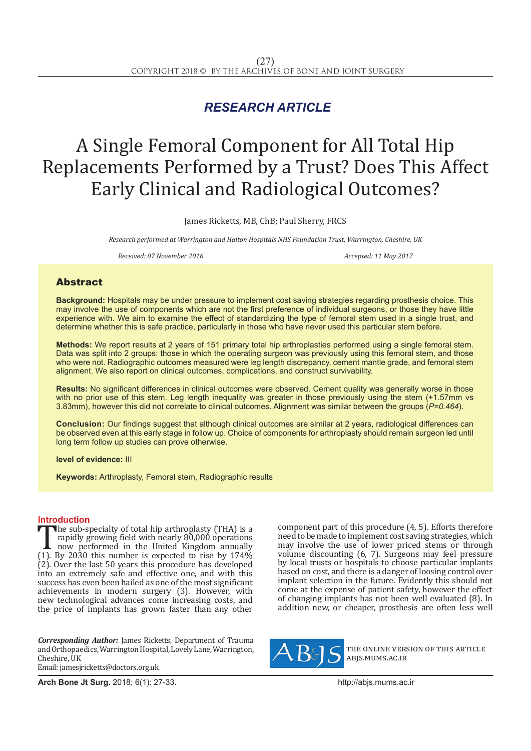## *RESEARCH ARTICLE*

# A Single Femoral Component for All Total Hip Replacements Performed by a Trust? Does This Affect Early Clinical and Radiological Outcomes?

James Ricketts, MB, ChB; Paul Sherry, FRCS

*Research performed at Warrington and Halton Hospitals NHS Foundation Trust, Warrington, Cheshire, UK* 

*Received: 07 November 2016* Accepted: 11 May 2017

### Abstract

**Background:** Hospitals may be under pressure to implement cost saving strategies regarding prosthesis choice. This may involve the use of components which are not the first preference of individual surgeons, or those they have little experience with. We aim to examine the effect of standardizing the type of femoral stem used in a single trust, and determine whether this is safe practice, particularly in those who have never used this particular stem before.

**Methods:** We report results at 2 years of 151 primary total hip arthroplasties performed using a single femoral stem. Data was split into 2 groups: those in which the operating surgeon was previously using this femoral stem, and those who were not. Radiographic outcomes measured were leg length discrepancy, cement mantle grade, and femoral stem alignment. We also report on clinical outcomes, complications, and construct survivability.

**Results:** No significant differences in clinical outcomes were observed. Cement quality was generally worse in those with no prior use of this stem. Leg length inequality was greater in those previously using the stem (+1.57mm vs 3.83mm), however this did not correlate to clinical outcomes. Alignment was similar between the groups (*P=0.464*).

**Conclusion:** Our findings suggest that although clinical outcomes are similar at 2 years, radiological differences can be observed even at this early stage in follow up. Choice of components for arthroplasty should remain surgeon led until long term follow up studies can prove otherwise.

**level of evidence:** III

**Keywords:** Arthroplasty, Femoral stem, Radiographic results

**Introduction**<br>The sub-specialty of total hip arthroplasty (THA) is a The sub-specialty of total hip arthroplasty (THA) is a<br>rapidly growing field with nearly 80,000 operations<br>now performed in the United Kingdom annually<br>(1). By 2030 this number is expected to rise by 174%<br>(2) Over the last rapidly growing field with nearly 80,000 operations now performed in the United Kingdom annually (1). By 2030 this number is expected to rise by  $174\%$  $(2)$ . Over the last 50 years this procedure has developed into an extremely safe and effective one, and with this success has even been hailed as one of the most significant achievements in modern surgery (3). However, with new technological advances come increasing costs, and the price of implants has grown faster than any other

*Corresponding Author:* James Ricketts, Department of Trauma and Orthopaedics, Warrington Hospital, Lovely Lane, Warrington, Cheshire, UK Email: jamesjricketts@doctors.org.uk

component part of this procedure (4, 5). Efforts therefore need to be made to implement cost saving strategies, which may involve the use of lower priced stems or through volume discounting (6, 7). Surgeons may feel pressure by local trusts or hospitals to choose particular implants based on cost, and there is a danger of loosing control over implant selection in the future. Evidently this should not come at the expense of patient safety, however the effect of changing implants has not been well evaluated (8). In addition new, or cheaper, prosthesis are often less well



the online version of this article abjs.mums.ac.ir

**Arch Bone Jt Surg.** 2018; 6(1): 27-33.http://abjs.mums.ac.ir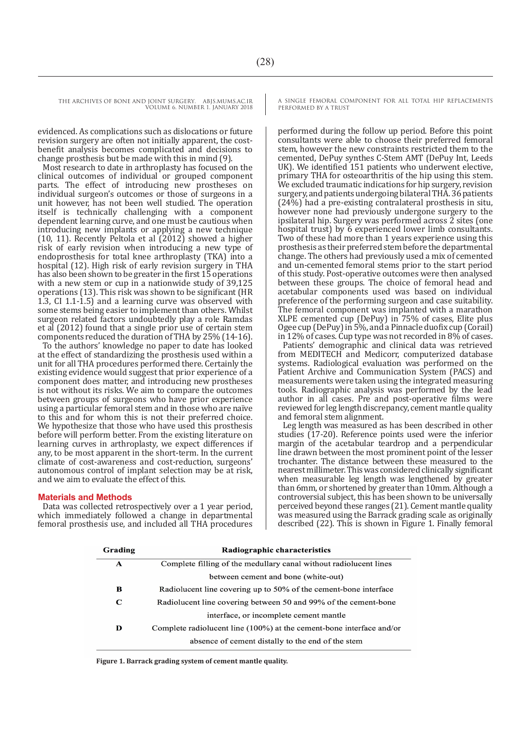evidenced. As complications such as dislocations or future revision surgery are often not initially apparent, the costbenefit analysis becomes complicated and decisions to change prosthesis but be made with this in mind (9).

Most research to date in arthroplasty has focused on the clinical outcomes of individual or grouped component parts. The effect of introducing new prostheses on individual surgeon's outcomes or those of surgeons in a unit however, has not been well studied. The operation itself is technically challenging with a component dependent learning curve, and one must be cautious when introducing new implants or applying a new technique (10, 11). Recently Peltola et al  $(2012)$  showed a higher risk of early revision when introducing a new type of endoprosthesis for total knee arthroplasty (TKA) into a hospital (12). High risk of early revision surgery in THA has also been shown to be greater in the first 15 operations with a new stem or cup in a nationwide study of 39,125 operations (13). This risk was shown to be significant (HR 1.3, CI 1.1-1.5) and a learning curve was observed with some stems being easier to implement than others. Whilst surgeon related factors undoubtedly play a role Ramdas et al (2012) found that a single prior use of certain stem components reduced the duration of THA by 25% (14-16).

To the authors' knowledge no paper to date has looked at the effect of standardizing the prosthesis used within a unit for all THA procedures performed there. Certainly the existing evidence would suggest that prior experience of a component does matter, and introducing new prostheses is not without its risks. We aim to compare the outcomes between groups of surgeons who have prior experience using a particular femoral stem and in those who are naïve to this and for whom this is not their preferred choice. We hypothesize that those who have used this prosthesis before will perform better. From the existing literature on learning curves in arthroplasty, we expect differences if any, to be most apparent in the short-term. In the current climate of cost-awareness and cost-reduction, surgeons' autonomous control of implant selection may be at risk, and we aim to evaluate the effect of this.

#### **Materials and Methods**

Data was collected retrospectively over a 1 year period, which immediately followed a change in departmental femoral prosthesis use, and included all THA procedures A SINGLE FEMORAL COMPONENT FOR ALL TOTAL HIP REPLACEMENTS PERFORMED BY A TRUST

performed during the follow up period. Before this point consultants were able to choose their preferred femoral stem, however the new constraints restricted them to the cemented, DePuy synthes C-Stem AMT (DePuy Int, Leeds UK). We identified 151 patients who underwent elective, primary THA for osteoarthritis of the hip using this stem. We excluded traumatic indications for hip surgery, revision surgery, and patients undergoing bilateral THA. 36 patients (24%) had a pre-existing contralateral prosthesis in situ, however none had previously undergone surgery to the ipsilateral hip. Surgery was performed across 2 sites (one hospital trust) by 6 experienced lower limb consultants. Two of these had more than 1 years experience using this prosthesis as their preferred stem before the departmental change. The others had previously used a mix of cemented and un-cemented femoral stems prior to the start period of this study. Post-operative outcomes were then analysed between these groups. The choice of femoral head and acetabular components used was based on individual preference of the performing surgeon and case suitability. The femoral component was implanted with a marathon XLPE cemented cup (DePuy) in 75% of cases, Elite plus Ogee cup (DePuy) in 5%, and a Pinnacle duofix cup (Corail) in 12% of cases. Cup type was not recorded in 8% of cases.

Patients' demographic and clinical data was retrieved from MEDITECH and Medicorr, computerized database systems. Radiological evaluation was performed on the Patient Archive and Communication System (PACS) and measurements were taken using the integrated measuring tools. Radiographic analysis was performed by the lead author in all cases. Pre and post-operative films were reviewed for leg length discrepancy, cement mantle quality and femoral stem alignment.

Leg length was measured as has been described in other studies (17-20). Reference points used were the inferior margin of the acetabular teardrop and a perpendicular line drawn between the most prominent point of the lesser trochanter. The distance between these measured to the nearest millimeter. This was considered clinically significant when measurable leg length was lengthened by greater than 6mm, or shortened by greater than 10mm. Although a controversial subject, this has been shown to be universally perceived beyond these ranges (21). Cement mantle quality was measured using the Barrack grading scale as originally described (22). This is shown in Figure 1. Finally femoral

| Grading | Radiographic characteristics                                         |  |  |
|---------|----------------------------------------------------------------------|--|--|
| A       | Complete filling of the medullary canal without radiolucent lines    |  |  |
|         | between cement and bone (white-out)                                  |  |  |
| в       | Radiolucent line covering up to 50% of the cement-bone interface     |  |  |
| C       | Radiolucent line covering between 50 and 99% of the cement-bone      |  |  |
|         | interface, or incomplete cement mantle                               |  |  |
| D       | Complete radiolucent line (100%) at the cement-bone interface and/or |  |  |
|         | absence of cement distally to the end of the stem                    |  |  |
|         |                                                                      |  |  |

**Figure 1. Barrack grading system of cement mantle quality.**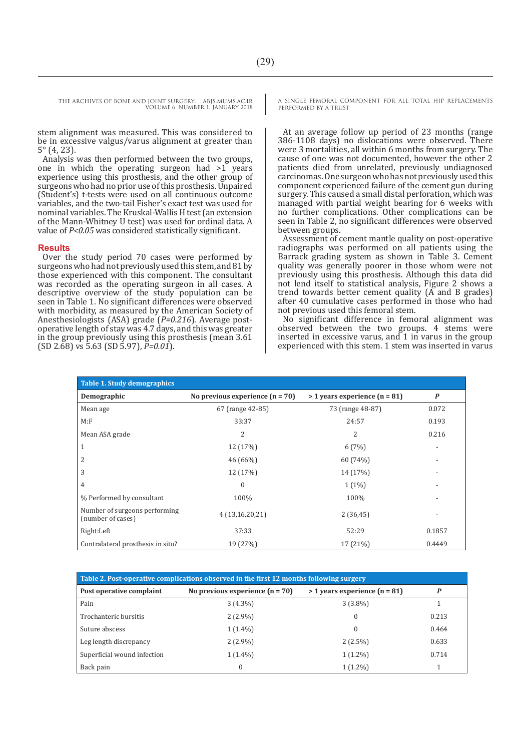stem alignment was measured. This was considered to be in excessive valgus/varus alignment at greater than 5° (4, 23).

Analysis was then performed between the two groups, one in which the operating surgeon had >1 years experience using this prosthesis, and the other group of surgeons who had no prior use of this prosthesis. Unpaired (Student's) t-tests were used on all continuous outcome variables, and the two-tail Fisher's exact test was used for nominal variables. The Kruskal-Wallis H test (an extension of the Mann-Whitney U test) was used for ordinal data. A value of *P<0.05* was considered statistically significant.

#### **Results**

Over the study period 70 cases were performed by surgeons who had not previously used this stem, and 81 by those experienced with this component. The consultant was recorded as the operating surgeon in all cases. A descriptive overview of the study population can be seen in Table 1. No significant differences were observed with morbidity, as measured by the American Society of Anesthesiologists (ASA) grade (*P=0.216*). Average postoperative length of stay was 4.7 days, and this was greater in the group previously using this prosthesis (mean 3.61 (SD 2.68) vs 5.63 (SD 5.97), *P=0.01*).

A SINGLE FEMORAL COMPONENT FOR ALL TOTAL HIP REPLACEMENTS PERFORMED BY A TRUST

At an average follow up period of 23 months (range 386-1108 days) no dislocations were observed. There were 3 mortalities, all within 6 months from surgery. The cause of one was not documented, however the other 2 patients died from unrelated, previously undiagnosed carcinomas. One surgeon who has not previously used this component experienced failure of the cement gun during surgery. This caused a small distal perforation, which was managed with partial weight bearing for 6 weeks with no further complications. Other complications can be seen in Table 2, no significant differences were observed between groups.

Assessment of cement mantle quality on post-operative radiographs was performed on all patients using the Barrack grading system as shown in Table 3. Cement quality was generally poorer in those whom were not previously using this prosthesis. Although this data did not lend itself to statistical analysis, Figure 2 shows a trend towards better cement quality (A and B grades) after 40 cumulative cases performed in those who had not previous used this femoral stem.

No significant difference in femoral alignment was observed between the two groups. 4 stems were inserted in excessive varus, and  $1$  in varus in the group experienced with this stem. 1 stem was inserted in varus

| <b>Table 1. Study demographics</b>                 |                                   |                                 |                  |  |  |
|----------------------------------------------------|-----------------------------------|---------------------------------|------------------|--|--|
| Demographic                                        | No previous experience $(n = 70)$ | $>$ 1 years experience (n = 81) | $\boldsymbol{P}$ |  |  |
| Mean age                                           | 67 (range 42-85)                  | 73 (range 48-87)                | 0.072            |  |  |
| M: F                                               | 33:37                             | 24:57                           | 0.193            |  |  |
| Mean ASA grade                                     | 2                                 | 2                               | 0.216            |  |  |
| 1                                                  | 12 (17%)                          | 6(7%)                           |                  |  |  |
| 2                                                  | 46 (66%)                          | 60 (74%)                        |                  |  |  |
| 3                                                  | 12 (17%)                          | 14 (17%)                        |                  |  |  |
| 4                                                  | $\boldsymbol{0}$                  | $1(1\%)$                        |                  |  |  |
| % Performed by consultant                          | 100%                              | 100%                            |                  |  |  |
| Number of surgeons performing<br>(number of cases) | 4(13,16,20,21)                    | 2(36, 45)                       |                  |  |  |
| Right:Left                                         | 37:33                             | 52:29                           | 0.1857           |  |  |
| Contralateral prosthesis in situ?                  | 19 (27%)                          | 17 (21%)                        | 0.4449           |  |  |

| Table 2. Post-operative complications observed in the first 12 months following surgery |                                   |                                 |       |  |  |  |
|-----------------------------------------------------------------------------------------|-----------------------------------|---------------------------------|-------|--|--|--|
| Post operative complaint                                                                | No previous experience $(n = 70)$ | $>$ 1 years experience (n = 81) | P     |  |  |  |
| Pain                                                                                    | $3(4.3\%)$                        | $3(3.8\%)$                      |       |  |  |  |
| Trochanteric bursitis                                                                   | $2(2.9\%)$                        | $\theta$                        | 0.213 |  |  |  |
| Suture abscess                                                                          | $1(1.4\%)$                        | $\theta$                        | 0.464 |  |  |  |
| Leg length discrepancy                                                                  | $2(2.9\%)$                        | $2(2.5\%)$                      | 0.633 |  |  |  |
| Superficial wound infection                                                             | $1(1.4\%)$                        | $1(1.2\%)$                      | 0.714 |  |  |  |
| Back pain                                                                               | $\Omega$                          | $1(1.2\%)$                      |       |  |  |  |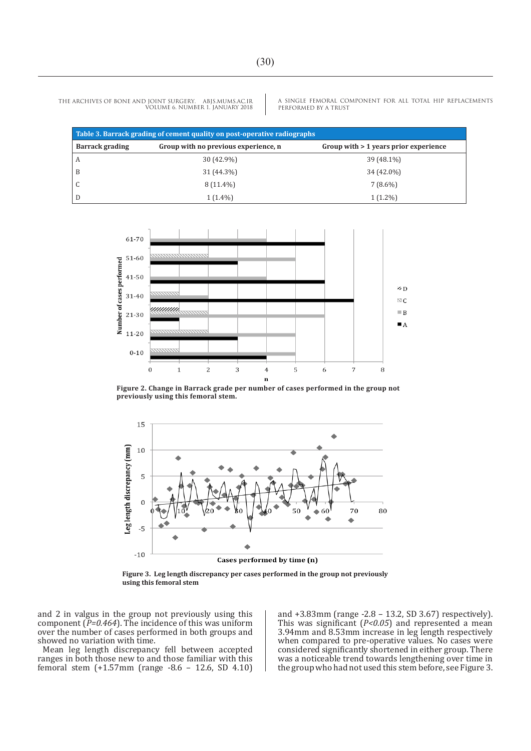A SINGLE FEMORAL COMPONENT FOR ALL TOTAL HIP REPLACEMENTS PERFORMED BY A TRUST

| Table 3. Barrack grading of cement quality on post-operative radiographs |                                      |                                       |  |  |  |  |
|--------------------------------------------------------------------------|--------------------------------------|---------------------------------------|--|--|--|--|
| <b>Barrack grading</b>                                                   | Group with no previous experience, n | Group with > 1 years prior experience |  |  |  |  |
| A                                                                        | 30 (42.9%)                           | 39 (48.1%)                            |  |  |  |  |
| B                                                                        | 31 (44.3%)                           | 34 (42.0%)                            |  |  |  |  |
|                                                                          | $8(11.4\%)$                          | $7(8.6\%)$                            |  |  |  |  |
| D                                                                        | $1(1.4\%)$                           | $1(1.2\%)$                            |  |  |  |  |



**Figure 2. Change in Barrack grade per number of cases performed in the group not previously using this femoral stem.**



**Figure 3. Leg length discrepancy per cases performed in the group not previously using this femoral stem** 

and 2 in valgus in the group not previously using this component (*P=0.464*). The incidence of this was uniform over the number of cases performed in both groups and showed no variation with time.

Mean leg length discrepancy fell between accepted ranges in both those new to and those familiar with this femoral stem (+1.57mm (range -8.6 – 12.6, SD 4.10)

and +3.83mm (range -2.8 – 13.2, SD 3.67) respectively). This was significant (*P<0.05*) and represented a mean 3.94mm and 8.53mm increase in leg length respectively when compared to pre-operative values. No cases were considered significantly shortened in either group. There was a noticeable trend towards lengthening over time in the group who had not used this stem before, see Figure 3.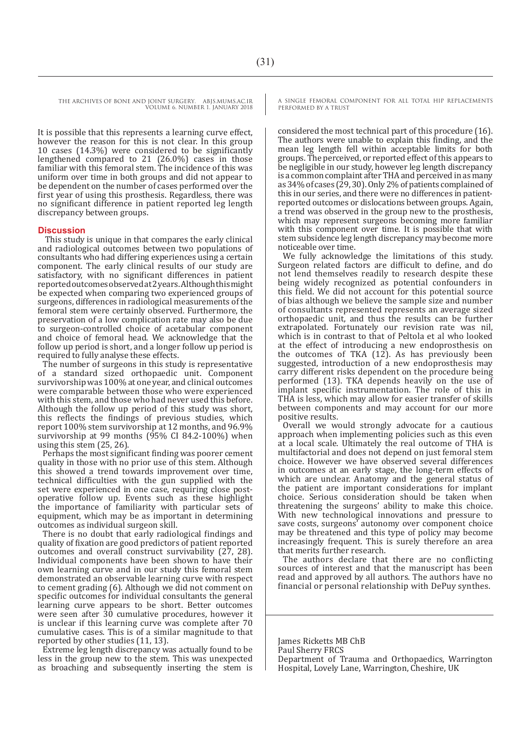It is possible that this represents a learning curve effect, however the reason for this is not clear. In this group 10 cases (14.3%) were considered to be significantly lengthened compared to 21 (26.0%) cases in those familiar with this femoral stem. The incidence of this was uniform over time in both groups and did not appear to be dependent on the number of cases performed over the first year of using this prosthesis. Regardless, there was no significant difference in patient reported leg length discrepancy between groups.

#### **Discussion**

 This study is unique in that compares the early clinical and radiological outcomes between two populations of consultants who had differing experiences using a certain component. The early clinical results of our study are satisfactory, with no significant differences in patient reported outcomes observed at 2 years. Although this might be expected when comparing two experienced groups of surgeons, differences in radiological measurements of the femoral stem were certainly observed. Furthermore, the preservation of a low complication rate may also be due to surgeon-controlled choice of acetabular component and choice of femoral head. We acknowledge that the follow up period is short, and a longer follow up period is required to fully analyse these effects.

The number of surgeons in this study is representative of a standard sized orthopaedic unit. Component survivorship was 100% at one year, and clinical outcomes were comparable between those who were experienced with this stem, and those who had never used this before. Although the follow up period of this study was short, this reflects the findings of previous studies, which report 100% stem survivorship at 12 months, and 96.9% survivorship at 99 months (95% CI 84.2-100%) when using this stem (25, 26).

Perhaps the most significant finding was poorer cement quality in those with no prior use of this stem. Although this showed a trend towards improvement over time, technical difficulties with the gun supplied with the set were experienced in one case, requiring close postoperative follow up. Events such as these highlight the importance of familiarity with particular sets of equipment, which may be as important in determining outcomes as individual surgeon skill.

There is no doubt that early radiological findings and quality of fixation are good predictors of patient reported outcomes and overall construct survivability (27, 28). Individual components have been shown to have their own learning curve and in our study this femoral stem demonstrated an observable learning curve with respect to cement grading (6). Although we did not comment on specific outcomes for individual consultants the general learning curve appears to be short. Better outcomes were seen after 30 cumulative procedures, however it is unclear if this learning curve was complete after 70 cumulative cases. This is of a similar magnitude to that reported by other studies (11, 13).

Extreme leg length discrepancy was actually found to be less in the group new to the stem. This was unexpected as broaching and subsequently inserting the stem is A SINGLE FEMORAL COMPONENT FOR ALL TOTAL HIP REPLACEMENTS PERFORMED BY A TRUST

considered the most technical part of this procedure (16). The authors were unable to explain this finding, and the mean leg length fell within acceptable limits for both groups. The perceived, or reported effect of this appears to be negligible in our study, however leg length discrepancy is a common complaint after THA and perceived in as many as 34% of cases (29, 30). Only 2% of patients complained of this in our series, and there were no differences in patientreported outcomes or dislocations between groups. Again, a trend was observed in the group new to the prosthesis, which may represent surgeons becoming more familiar with this component over time. It is possible that with stem subsidence leg length discrepancy may become more noticeable over time.

We fully acknowledge the limitations of this study. Surgeon related factors are difficult to define, and do not lend themselves readily to research despite these being widely recognized as potential confounders in this field. We did not account for this potential source of bias although we believe the sample size and number of consultants represented represents an average sized orthopaedic unit, and thus the results can be further extrapolated. Fortunately our revision rate was nil, which is in contrast to that of Peltola et al who looked at the effect of introducing a new endoprosthesis on the outcomes of TKA (12). As has previously been suggested, introduction of a new endoprosthesis may carry different risks dependent on the procedure being performed (13). TKA depends heavily on the use of implant specific instrumentation. The role of this in THA is less, which may allow for easier transfer of skills between components and may account for our more positive results.

Overall we would strongly advocate for a cautious approach when implementing policies such as this even at a local scale. Ultimately the real outcome of THA is multifactorial and does not depend on just femoral stem choice. However we have observed several differences in outcomes at an early stage, the long-term effects of which are unclear. Anatomy and the general status of the patient are important considerations for implant choice. Serious consideration should be taken when threatening the surgeons' ability to make this choice. With new technological innovations and pressure to save costs, surgeons' autonomy over component choice may be threatened and this type of policy may become increasingly frequent. This is surely therefore an area that merits further research.

The authors declare that there are no conflicting sources of interest and that the manuscript has been read and approved by all authors. The authors have no financial or personal relationship with DePuy synthes.

James Ricketts MB ChB Paul Sherry FRCS Department of Trauma and Orthopaedics, Warrington Hospital, Lovely Lane, Warrington, Cheshire, UK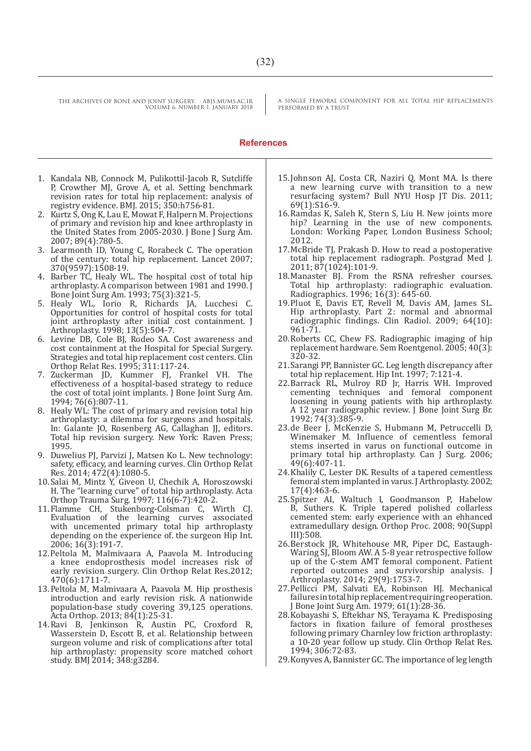A SINGLE FEMORAL COMPONENT FOR ALL TOTAL HIP REPLACEMENTS PERFORMED BY A TRUST

#### **References**

- 1. Kandala NB, Connock M, Pulikottil-Jacob R, Sutcliffe P, Crowther MJ, Grove A, et al. Setting benchmark revision rates for total hip replacement: analysis of registry evidence. BMJ. 2015; 350:h756-81.
- 2. Kurtz S, Ong K, Lau E, Mowat F, Halpern M. Projections of primary and revision hip and knee arthroplasty in the United States from 2005-2030. J Bone J Surg Am. 2007; 89(4):780-5.
- 3. Learmonth ID, Young C, Rorabeck C. The operation of the century: total hip replacement. Lancet 2007; 370(9597):1508-19.
- 4. Barber TC, Healy WL. The hospital cost of total hip arthroplasty. A comparison between 1981 and 1990. J Bone Joint Surg Am. 1993; 75(3):321-5.
- 5. Healy WL, Iorio R, Richards JA, Lucchesi C. Opportunities for control of hospital costs for total joint arthroplasty after initial cost containment. J Arthroplasty. 1998; 13(5):504-7.
- 6. Levine DB, Cole BJ, Rodeo SA. Cost awareness and cost containment at the Hospital for Special Surgery. Strategies and total hip replacement cost centers. Clin Orthop Relat Res. 1995; 311:117-24.
- 7. Zuckerman JD, Kummer FJ, Frankel VH. The effectiveness of a hospital-based strategy to reduce the cost of total joint implants. J Bone Joint Surg Am. 1994; 76(6):807-11.
- 8. Healy WL: The cost of primary and revision total hip arthroplasty: a dilemma for surgeons and hospitals. In: Galante JO, Rosenberg AG, Callaghan JJ, editors. Total hip revision surgery. New York: Raven Press; 1995.
- 9. Duwelius PJ, Parvizi J, Matsen Ko L. New technology: safety, efficacy, and learning curves. Clin Orthop Relat Res. 2014; 472(4):1080-5.
- 10.Salai M, Mintz Y, Giveon U, Chechik A, Horoszowski H. The "learning curve" of total hip arthroplasty. Acta Orthop Trauma Surg. 1997; 116(6-7):420-2.
- 11.Flamme CH, Stukenborg-Colsman C, Wirth CJ. Evaluation of the learning curves associated with uncemented primary total hip arthroplasty depending on the experience of. the surgeon Hip Int. 2006; 16(3):191-7.
- 12.Peltola M, Malmivaara A, Paavola M. Introducing a knee endoprosthesis model increases risk of early revision surgery. Clin Orthop Relat Res.2012; 470(6):1711-7.
- 13.Peltola M, Malmivaara A, Paavola M. Hip prosthesis introduction and early revision risk. A nationwide population-base study covering 39,125 operations. Acta Orthop. 2013; 84(1):25-31.
- 14.Ravi B, Jenkinson R, Austin PC, Croxford R, Wasserstein D, Escott B, et al. Relationship between surgeon volume and risk of complications after total hip arthroplasty: propensity score matched cohort study. BMJ 2014; 348:g3284.
- 15.Johnson AJ, Costa CR, Naziri Q, Mont MA. Is there a new learning curve with transition to a new resurfacing system? Bull NYU Hosp JT Dis. 2011; 69(1):S16-9.
- 16.Ramdas K, Saleh K, Stern S, Liu H. New joints more hip? Learning in the use of new components. London: Working Paper, London Business School; 2012.
- 17.McBride TJ, Prakash D. How to read a postoperative total hip replacement radiograph. Postgrad Med J. 2011; 87(1024):101-9.
- 18.Manaster BJ. From the RSNA refresher courses. Total hip arthroplasty: radiographic evaluation. Radiographics. 1996; 16(3): 645-60.
- 19.Pluot E, Davis ET, Revell M, Davis AM, James SL. Hip arthroplasty. Part 2: normal and abnormal radiographic findings. Clin Radiol. 2009; 64(10): 961-71.
- 20.Roberts CC, Chew FS. Radiographic imaging of hip replacement hardware. Sem Roentgenol. 2005; 40(3): 320-32.
- 21.Sarangi PP, Bannister GC. Leg length discrepancy after total hip replacement. Hip Int. 1997; 7:121-4.
- 22.Barrack RL, Mulroy RD Jr, Harris WH. Improved cementing techniques and femoral component loosening in young patients with hip arthroplasty. A 12 year radiographic review. J Bone Joint Surg Br. 1992; 74(3):385-9.
- 23.de Beer J, McKenzie S, Hubmann M, Petruccelli D, Winemaker M. Influence of cementless femoral stems inserted in varus on functional outcome in primary total hip arthroplasty. Can J Surg. 2006; 49(6):407-11.
- 24.Khalily C, Lester DK. Results of a tapered cementless femoral stem implanted in varus. J Arthroplasty. 2002; 17(4):463-6.
- 25.Spitzer AI, Waltuch I, Goodmanson P, Habelow B, Suthers K. Triple tapered polished collarless cemented stem: early experience with an ehhanced extramedullary design. Orthop Proc. 2008; 90(Suppl III):508.
- 26.Berstock JR, Whitehouse MR, Piper DC, Eastaugh-Waring SJ, Bloom AW. A 5-8 year retrospective follow up of the C-stem AMT femoral component. Patient reported outcomes and survivorship analysis. J Arthroplasty. 2014; 29(9):1753-7.
- 27.Pellicci PM, Salvati EA, Robinson HJ. Mechanical failures in total hip replacement requiring reoperation. J Bone Joint Surg Am. 1979; 61(1):28-36.
- 28.Kobayashi S, Eftekhar NS, Terayama K. Predisposing factors in fixation failure of femoral prostheses following primary Charnley low friction arthroplasty: a 10-20 year follow up study. Clin Orthop Relat Res. 1994; 306:72-83.
- 29.Konyves A, Bannister GC. The importance of leg length